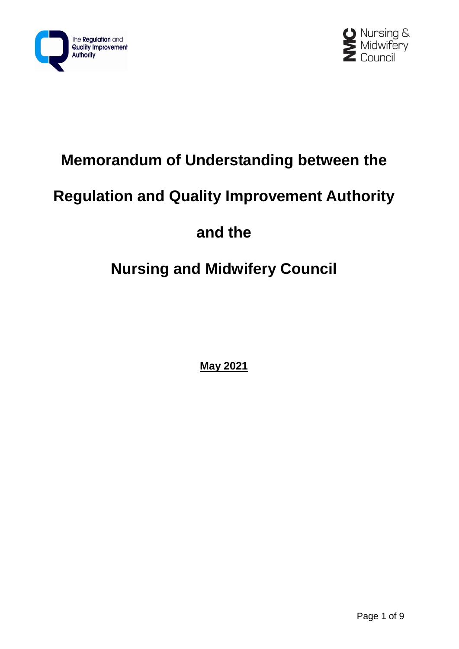



## **Memorandum of Understanding between the**

## **Regulation and Quality Improvement Authority**

## **and the**

# **Nursing and Midwifery Council**

**May 2021**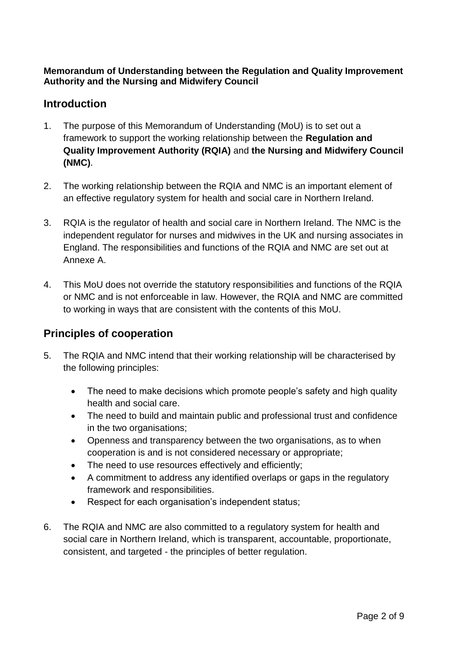#### **Memorandum of Understanding between the Regulation and Quality Improvement Authority and the Nursing and Midwifery Council**

## **Introduction**

- 1. The purpose of this Memorandum of Understanding (MoU) is to set out a framework to support the working relationship between the **Regulation and Quality Improvement Authority (RQIA)** and **the Nursing and Midwifery Council (NMC)**.
- 2. The working relationship between the RQIA and NMC is an important element of an effective regulatory system for health and social care in Northern Ireland.
- 3. RQIA is the regulator of health and social care in Northern Ireland. The NMC is the independent regulator for nurses and midwives in the UK and nursing associates in England. The responsibilities and functions of the RQIA and NMC are set out at Annexe A.
- 4. This MoU does not override the statutory responsibilities and functions of the RQIA or NMC and is not enforceable in law. However, the RQIA and NMC are committed to working in ways that are consistent with the contents of this MoU.

## **Principles of cooperation**

- 5. The RQIA and NMC intend that their working relationship will be characterised by the following principles:
	- The need to make decisions which promote people's safety and high quality health and social care.
	- The need to build and maintain public and professional trust and confidence in the two organisations;
	- Openness and transparency between the two organisations, as to when cooperation is and is not considered necessary or appropriate;
	- The need to use resources effectively and efficiently;
	- A commitment to address any identified overlaps or gaps in the regulatory framework and responsibilities.
	- Respect for each organisation's independent status:
- 6. The RQIA and NMC are also committed to a regulatory system for health and social care in Northern Ireland, which is transparent, accountable, proportionate, consistent, and targeted - the principles of better regulation.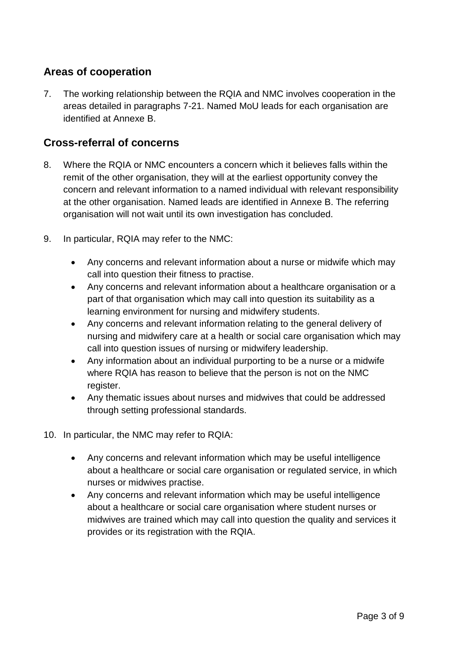## **Areas of cooperation**

7. The working relationship between the RQIA and NMC involves cooperation in the areas detailed in paragraphs 7-21. Named MoU leads for each organisation are identified at Annexe B.

### **Cross-referral of concerns**

- 8. Where the RQIA or NMC encounters a concern which it believes falls within the remit of the other organisation, they will at the earliest opportunity convey the concern and relevant information to a named individual with relevant responsibility at the other organisation. Named leads are identified in Annexe B. The referring organisation will not wait until its own investigation has concluded.
- 9. In particular, RQIA may refer to the NMC:
	- Any concerns and relevant information about a nurse or midwife which may call into question their fitness to practise.
	- Any concerns and relevant information about a healthcare organisation or a part of that organisation which may call into question its suitability as a learning environment for nursing and midwifery students.
	- Any concerns and relevant information relating to the general delivery of nursing and midwifery care at a health or social care organisation which may call into question issues of nursing or midwifery leadership.
	- Any information about an individual purporting to be a nurse or a midwife where RQIA has reason to believe that the person is not on the NMC register.
	- Any thematic issues about nurses and midwives that could be addressed through setting professional standards.
- 10. In particular, the NMC may refer to RQIA:
	- Any concerns and relevant information which may be useful intelligence about a healthcare or social care organisation or regulated service, in which nurses or midwives practise.
	- Any concerns and relevant information which may be useful intelligence about a healthcare or social care organisation where student nurses or midwives are trained which may call into question the quality and services it provides or its registration with the RQIA.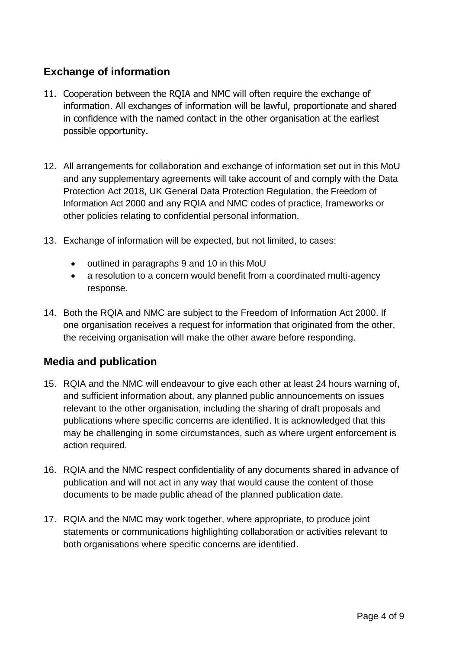## **Exchange of information**

- 11. Cooperation between the RQIA and NMC will often require the exchange of information. All exchanges of information will be lawful, proportionate and shared in confidence with the named contact in the other organisation at the earliest possible opportunity.
- 12. All arrangements for collaboration and exchange of information set out in this MoU and any supplementary agreements will take account of and comply with the Data Protection Act 2018, UK General Data Protection Regulation, the Freedom of Information Act 2000 and any RQIA and NMC codes of practice, frameworks or other policies relating to confidential personal information.
- 13. Exchange of information will be expected, but not limited, to cases:
	- outlined in paragraphs 9 and 10 in this MoU
	- a resolution to a concern would benefit from a coordinated multi-agency response.
- 14. Both the RQIA and NMC are subject to the Freedom of Information Act 2000. If one organisation receives a request for information that originated from the other, the receiving organisation will make the other aware before responding.

### **Media and publication**

- 15. RQIA and the NMC will endeavour to give each other at least 24 hours warning of, and sufficient information about, any planned public announcements on issues relevant to the other organisation, including the sharing of draft proposals and publications where specific concerns are identified. It is acknowledged that this may be challenging in some circumstances, such as where urgent enforcement is action required.
- 16. RQIA and the NMC respect confidentiality of any documents shared in advance of publication and will not act in any way that would cause the content of those documents to be made public ahead of the planned publication date.
- 17. RQIA and the NMC may work together, where appropriate, to produce joint statements or communications highlighting collaboration or activities relevant to both organisations where specific concerns are identified.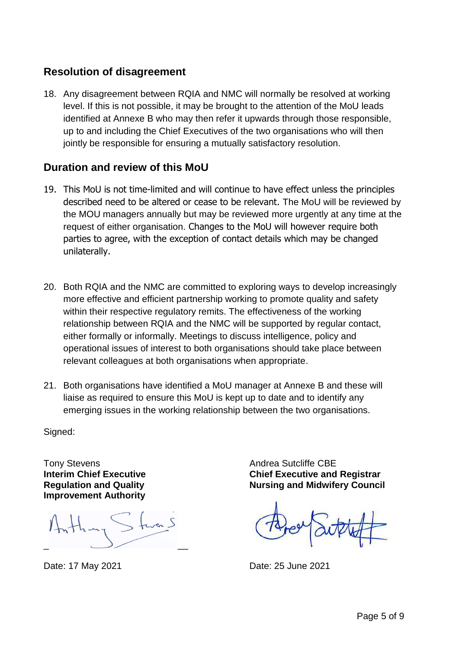### **Resolution of disagreement**

18. Any disagreement between RQIA and NMC will normally be resolved at working level. If this is not possible, it may be brought to the attention of the MoU leads identified at Annexe B who may then refer it upwards through those responsible, up to and including the Chief Executives of the two organisations who will then jointly be responsible for ensuring a mutually satisfactory resolution.

### **Duration and review of this MoU**

- 19. This MoU is not time-limited and will continue to have effect unless the principles described need to be altered or cease to be relevant. The MoU will be reviewed by the MOU managers annually but may be reviewed more urgently at any time at the request of either organisation. Changes to the MoU will however require both parties to agree, with the exception of contact details which may be changed unilaterally.
- 20. Both RQIA and the NMC are committed to exploring ways to develop increasingly more effective and efficient partnership working to promote quality and safety within their respective regulatory remits. The effectiveness of the working relationship between RQIA and the NMC will be supported by regular contact, either formally or informally. Meetings to discuss intelligence, policy and operational issues of interest to both organisations should take place between relevant colleagues at both organisations when appropriate.
- 21. Both organisations have identified a MoU manager at Annexe B and these will liaise as required to ensure this MoU is kept up to date and to identify any emerging issues in the working relationship between the two organisations.

Signed:

Tony Stevens **Interim Chief Executive Regulation and Quality Improvement Authority**

 $\overline{\phantom{a}}$   $\overline{\phantom{a}}$   $\overline{\phantom{a}}$ 

Andrea Sutcliffe CBE **Chief Executive and Registrar Nursing and Midwifery Council**

Date: 17 May 2021 Date: 25 June 2021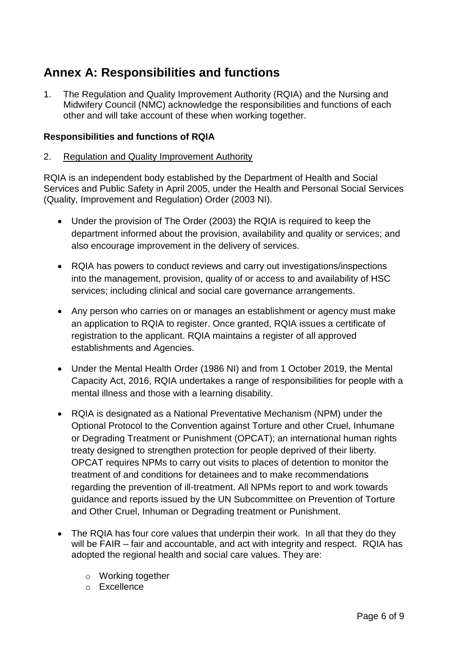## **Annex A: Responsibilities and functions**

1. The Regulation and Quality Improvement Authority (RQIA) and the Nursing and Midwifery Council (NMC) acknowledge the responsibilities and functions of each other and will take account of these when working together.

#### **Responsibilities and functions of RQIA**

#### 2. Regulation and Quality Improvement Authority

RQIA is an independent body established by the Department of Health and Social Services and Public Safety in April 2005, under the Health and Personal Social Services (Quality, Improvement and Regulation) Order (2003 NI).

- Under the provision of The Order (2003) the RQIA is required to keep the department informed about the provision, availability and quality or services; and also encourage improvement in the delivery of services.
- RQIA has powers to conduct reviews and carry out investigations/inspections into the management, provision, quality of or access to and availability of HSC services; including clinical and social care governance arrangements.
- Any person who carries on or manages an establishment or agency must make an application to RQIA to register. Once granted, RQIA issues a certificate of registration to the applicant. RQIA maintains a register of all approved establishments and Agencies.
- Under the Mental Health Order (1986 NI) and from 1 October 2019, the Mental Capacity Act, 2016, RQIA undertakes a range of responsibilities for people with a mental illness and those with a learning disability.
- RQIA is designated as a National Preventative Mechanism (NPM) under the Optional Protocol to the Convention against Torture and other Cruel, Inhumane or Degrading Treatment or Punishment (OPCAT); an international human rights treaty designed to strengthen protection for people deprived of their liberty. OPCAT requires NPMs to carry out visits to places of detention to monitor the treatment of and conditions for detainees and to make recommendations regarding the prevention of ill-treatment. All NPMs report to and work towards guidance and reports issued by the UN Subcommittee on Prevention of Torture and Other Cruel, Inhuman or Degrading treatment or Punishment.
- The RQIA has four core values that underpin their work. In all that they do they will be FAIR – fair and accountable, and act with integrity and respect. RQIA has adopted the regional health and social care values. They are:
	- o Working together
	- o Excellence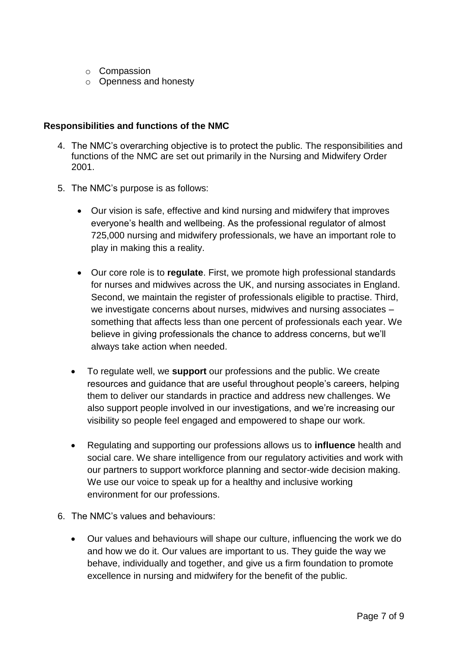- o Compassion
- o Openness and honesty

#### **Responsibilities and functions of the NMC**

- 4. The NMC's overarching objective is to protect the public. The responsibilities and functions of the NMC are set out primarily in the Nursing and Midwifery Order 2001.
- 5. The NMC's purpose is as follows:
	- Our vision is safe, effective and kind nursing and midwifery that improves everyone's health and wellbeing. As the professional regulator of almost 725,000 nursing and midwifery professionals, we have an important role to play in making this a reality.
	- Our core role is to **regulate**. First, we promote high professional standards for nurses and midwives across the UK, and nursing associates in England. Second, we maintain the register of professionals eligible to practise. Third, we investigate concerns about nurses, midwives and nursing associates – something that affects less than one percent of professionals each year. We believe in giving professionals the chance to address concerns, but we'll always take action when needed.
	- To regulate well, we **support** our professions and the public. We create resources and guidance that are useful throughout people's careers, helping them to deliver our standards in practice and address new challenges. We also support people involved in our investigations, and we're increasing our visibility so people feel engaged and empowered to shape our work.
	- Regulating and supporting our professions allows us to **influence** health and social care. We share intelligence from our regulatory activities and work with our partners to support workforce planning and sector-wide decision making. We use our voice to speak up for a healthy and inclusive working environment for our professions.
- 6. The NMC's values and behaviours:
	- Our values and behaviours will shape our culture, influencing the work we do and how we do it. Our values are important to us. They guide the way we behave, individually and together, and give us a firm foundation to promote excellence in nursing and midwifery for the benefit of the public.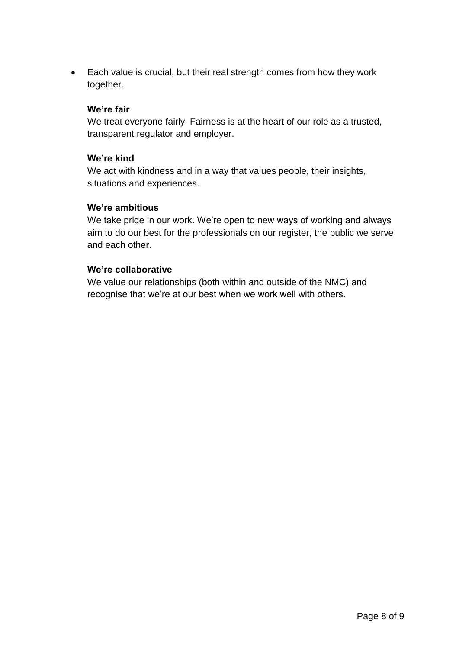Each value is crucial, but their real strength comes from how they work together.

#### **We're fair**

We treat everyone fairly. Fairness is at the heart of our role as a trusted, transparent regulator and employer.

#### **We're kind**

We act with kindness and in a way that values people, their insights, situations and experiences.

#### **We're ambitious**

We take pride in our work. We're open to new ways of working and always aim to do our best for the professionals on our register, the public we serve and each other.

#### **We're collaborative**

We value our relationships (both within and outside of the NMC) and recognise that we're at our best when we work well with others.